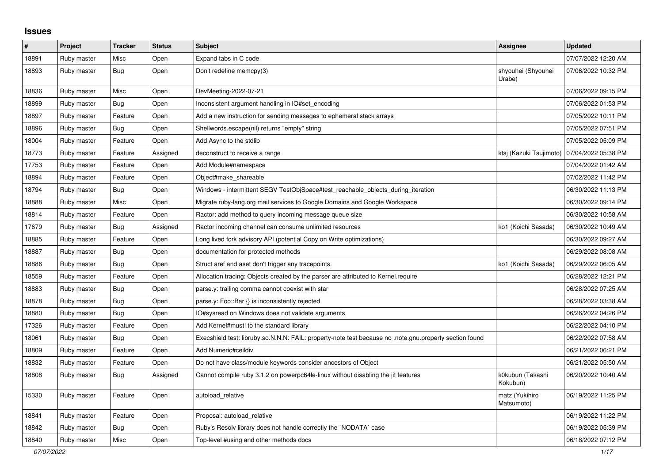## **Issues**

| $\pmb{\#}$ | Project     | <b>Tracker</b> | <b>Status</b> | <b>Subject</b>                                                                                          | <b>Assignee</b>              | <b>Updated</b>      |
|------------|-------------|----------------|---------------|---------------------------------------------------------------------------------------------------------|------------------------------|---------------------|
| 18891      | Ruby master | Misc           | Open          | Expand tabs in C code                                                                                   |                              | 07/07/2022 12:20 AM |
| 18893      | Ruby master | Bug            | Open          | Don't redefine memcpy(3)                                                                                | shyouhei (Shyouhei<br>Urabe) | 07/06/2022 10:32 PM |
| 18836      | Ruby master | Misc           | Open          | DevMeeting-2022-07-21                                                                                   |                              | 07/06/2022 09:15 PM |
| 18899      | Ruby master | Bug            | Open          | Inconsistent argument handling in IO#set encoding                                                       |                              | 07/06/2022 01:53 PM |
| 18897      | Ruby master | Feature        | Open          | Add a new instruction for sending messages to ephemeral stack arrays                                    |                              | 07/05/2022 10:11 PM |
| 18896      | Ruby master | Bug            | Open          | Shellwords.escape(nil) returns "empty" string                                                           |                              | 07/05/2022 07:51 PM |
| 18004      | Ruby master | Feature        | Open          | Add Async to the stdlib                                                                                 |                              | 07/05/2022 05:09 PM |
| 18773      | Ruby master | Feature        | Assigned      | deconstruct to receive a range                                                                          | ktsj (Kazuki Tsujimoto)      | 07/04/2022 05:38 PM |
| 17753      | Ruby master | Feature        | Open          | Add Module#namespace                                                                                    |                              | 07/04/2022 01:42 AM |
| 18894      | Ruby master | Feature        | Open          | Object#make shareable                                                                                   |                              | 07/02/2022 11:42 PM |
| 18794      | Ruby master | <b>Bug</b>     | Open          | Windows - intermittent SEGV TestObjSpace#test_reachable_objects_during_iteration                        |                              | 06/30/2022 11:13 PM |
| 18888      | Ruby master | Misc           | Open          | Migrate ruby-lang.org mail services to Google Domains and Google Workspace                              |                              | 06/30/2022 09:14 PM |
| 18814      | Ruby master | Feature        | Open          | Ractor: add method to query incoming message queue size                                                 |                              | 06/30/2022 10:58 AM |
| 17679      | Ruby master | <b>Bug</b>     | Assigned      | Ractor incoming channel can consume unlimited resources                                                 | ko1 (Koichi Sasada)          | 06/30/2022 10:49 AM |
| 18885      | Ruby master | Feature        | Open          | Long lived fork advisory API (potential Copy on Write optimizations)                                    |                              | 06/30/2022 09:27 AM |
| 18887      | Ruby master | Bug            | Open          | documentation for protected methods                                                                     |                              | 06/29/2022 08:08 AM |
| 18886      | Ruby master | Bug            | Open          | Struct aref and aset don't trigger any tracepoints.                                                     | ko1 (Koichi Sasada)          | 06/29/2022 06:05 AM |
| 18559      | Ruby master | Feature        | Open          | Allocation tracing: Objects created by the parser are attributed to Kernel.require                      |                              | 06/28/2022 12:21 PM |
| 18883      | Ruby master | <b>Bug</b>     | Open          | parse.y: trailing comma cannot coexist with star                                                        |                              | 06/28/2022 07:25 AM |
| 18878      | Ruby master | <b>Bug</b>     | Open          | parse.y: Foo::Bar {} is inconsistently rejected                                                         |                              | 06/28/2022 03:38 AM |
| 18880      | Ruby master | <b>Bug</b>     | Open          | IO#sysread on Windows does not validate arguments                                                       |                              | 06/26/2022 04:26 PM |
| 17326      | Ruby master | Feature        | Open          | Add Kernel#must! to the standard library                                                                |                              | 06/22/2022 04:10 PM |
| 18061      | Ruby master | <b>Bug</b>     | Open          | Execshield test: libruby.so.N.N.N: FAIL: property-note test because no .note.gnu.property section found |                              | 06/22/2022 07:58 AM |
| 18809      | Ruby master | Feature        | Open          | Add Numeric#ceildiv                                                                                     |                              | 06/21/2022 06:21 PM |
| 18832      | Ruby master | Feature        | Open          | Do not have class/module keywords consider ancestors of Object                                          |                              | 06/21/2022 05:50 AM |
| 18808      | Ruby master | Bug            | Assigned      | Cannot compile ruby 3.1.2 on powerpc64le-linux without disabling the jit features                       | k0kubun (Takashi<br>Kokubun) | 06/20/2022 10:40 AM |
| 15330      | Ruby master | Feature        | Open          | autoload relative                                                                                       | matz (Yukihiro<br>Matsumoto) | 06/19/2022 11:25 PM |
| 18841      | Ruby master | Feature        | Open          | Proposal: autoload relative                                                                             |                              | 06/19/2022 11:22 PM |
| 18842      | Ruby master | Bug            | Open          | Ruby's Resolv library does not handle correctly the `NODATA` case                                       |                              | 06/19/2022 05:39 PM |
| 18840      | Ruby master | Misc           | Open          | Top-level #using and other methods docs                                                                 |                              | 06/18/2022 07:12 PM |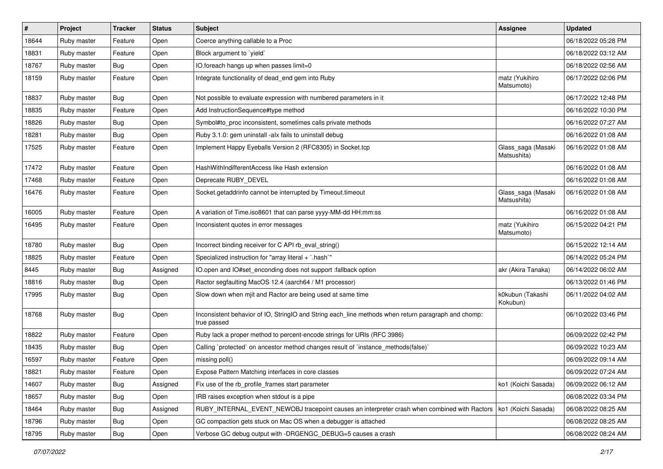| $\#$  | Project     | Tracker    | <b>Status</b> | <b>Subject</b>                                                                                                     | Assignee                          | <b>Updated</b>      |
|-------|-------------|------------|---------------|--------------------------------------------------------------------------------------------------------------------|-----------------------------------|---------------------|
| 18644 | Ruby master | Feature    | Open          | Coerce anything callable to a Proc                                                                                 |                                   | 06/18/2022 05:28 PM |
| 18831 | Ruby master | Feature    | Open          | Block argument to 'yield'                                                                                          |                                   | 06/18/2022 03:12 AM |
| 18767 | Ruby master | <b>Bug</b> | Open          | IO.foreach hangs up when passes limit=0                                                                            |                                   | 06/18/2022 02:56 AM |
| 18159 | Ruby master | Feature    | Open          | Integrate functionality of dead_end gem into Ruby                                                                  | matz (Yukihiro<br>Matsumoto)      | 06/17/2022 02:06 PM |
| 18837 | Ruby master | Bug        | Open          | Not possible to evaluate expression with numbered parameters in it                                                 |                                   | 06/17/2022 12:48 PM |
| 18835 | Ruby master | Feature    | Open          | Add InstructionSequence#type method                                                                                |                                   | 06/16/2022 10:30 PM |
| 18826 | Ruby master | <b>Bug</b> | Open          | Symbol#to_proc inconsistent, sometimes calls private methods                                                       |                                   | 06/16/2022 07:27 AM |
| 18281 | Ruby master | <b>Bug</b> | Open          | Ruby 3.1.0: gem uninstall -alx fails to uninstall debug                                                            |                                   | 06/16/2022 01:08 AM |
| 17525 | Ruby master | Feature    | Open          | Implement Happy Eyeballs Version 2 (RFC8305) in Socket.tcp                                                         | Glass_saga (Masaki<br>Matsushita) | 06/16/2022 01:08 AM |
| 17472 | Ruby master | Feature    | Open          | HashWithIndifferentAccess like Hash extension                                                                      |                                   | 06/16/2022 01:08 AM |
| 17468 | Ruby master | Feature    | Open          | Deprecate RUBY_DEVEL                                                                                               |                                   | 06/16/2022 01:08 AM |
| 16476 | Ruby master | Feature    | Open          | Socket.getaddrinfo cannot be interrupted by Timeout.timeout                                                        | Glass_saga (Masaki<br>Matsushita) | 06/16/2022 01:08 AM |
| 16005 | Ruby master | Feature    | Open          | A variation of Time.iso8601 that can parse yyyy-MM-dd HH:mm:ss                                                     |                                   | 06/16/2022 01:08 AM |
| 16495 | Ruby master | Feature    | Open          | Inconsistent quotes in error messages                                                                              | matz (Yukihiro<br>Matsumoto)      | 06/15/2022 04:21 PM |
| 18780 | Ruby master | <b>Bug</b> | Open          | Incorrect binding receiver for C API rb_eval_string()                                                              |                                   | 06/15/2022 12:14 AM |
| 18825 | Ruby master | Feature    | Open          | Specialized instruction for "array literal + `.hash`"                                                              |                                   | 06/14/2022 05:24 PM |
| 8445  | Ruby master | <b>Bug</b> | Assigned      | IO.open and IO#set_enconding does not support :fallback option                                                     | akr (Akira Tanaka)                | 06/14/2022 06:02 AM |
| 18816 | Ruby master | <b>Bug</b> | Open          | Ractor segfaulting MacOS 12.4 (aarch64 / M1 processor)                                                             |                                   | 06/13/2022 01:46 PM |
| 17995 | Ruby master | <b>Bug</b> | Open          | Slow down when mjit and Ractor are being used at same time                                                         | k0kubun (Takashi<br>Kokubun)      | 06/11/2022 04:02 AM |
| 18768 | Ruby master | Bug        | Open          | Inconsistent behavior of IO, StringIO and String each_line methods when return paragraph and chomp:<br>true passed |                                   | 06/10/2022 03:46 PM |
| 18822 | Ruby master | Feature    | Open          | Ruby lack a proper method to percent-encode strings for URIs (RFC 3986)                                            |                                   | 06/09/2022 02:42 PM |
| 18435 | Ruby master | <b>Bug</b> | Open          | Calling `protected` on ancestor method changes result of `instance_methods(false)`                                 |                                   | 06/09/2022 10:23 AM |
| 16597 | Ruby master | Feature    | Open          | missing poll()                                                                                                     |                                   | 06/09/2022 09:14 AM |
| 18821 | Ruby master | Feature    | Open          | Expose Pattern Matching interfaces in core classes                                                                 |                                   | 06/09/2022 07:24 AM |
| 14607 | Ruby master | <b>Bug</b> | Assigned      | Fix use of the rb profile frames start parameter                                                                   | ko1 (Koichi Sasada)               | 06/09/2022 06:12 AM |
| 18657 | Ruby master | <b>Bug</b> | Open          | IRB raises exception when stdout is a pipe                                                                         |                                   | 06/08/2022 03:34 PM |
| 18464 | Ruby master | Bug        | Assigned      | RUBY_INTERNAL_EVENT_NEWOBJ tracepoint causes an interpreter crash when combined with Ractors                       | ko1 (Koichi Sasada)               | 06/08/2022 08:25 AM |
| 18796 | Ruby master | <b>Bug</b> | Open          | GC compaction gets stuck on Mac OS when a debugger is attached                                                     |                                   | 06/08/2022 08:25 AM |
| 18795 | Ruby master | Bug        | Open          | Verbose GC debug output with -DRGENGC DEBUG=5 causes a crash                                                       |                                   | 06/08/2022 08:24 AM |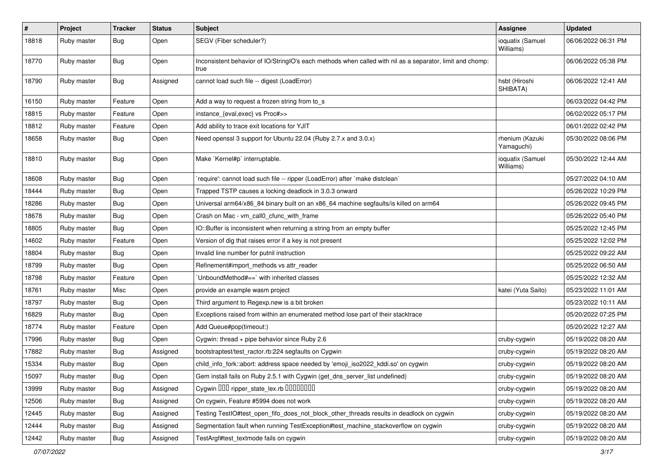| $\sharp$ | Project     | <b>Tracker</b> | <b>Status</b> | Subject                                                                                                           | <b>Assignee</b>               | <b>Updated</b>      |
|----------|-------------|----------------|---------------|-------------------------------------------------------------------------------------------------------------------|-------------------------------|---------------------|
| 18818    | Ruby master | Bug            | Open          | SEGV (Fiber scheduler?)                                                                                           | ioquatix (Samuel<br>Williams) | 06/06/2022 06:31 PM |
| 18770    | Ruby master | Bug            | Open          | Inconsistent behavior of IO/StringIO's each methods when called with nil as a separator, limit and chomp:<br>true |                               | 06/06/2022 05:38 PM |
| 18790    | Ruby master | <b>Bug</b>     | Assigned      | cannot load such file -- digest (LoadError)                                                                       | hsbt (Hiroshi<br>SHIBATA)     | 06/06/2022 12:41 AM |
| 16150    | Ruby master | Feature        | Open          | Add a way to request a frozen string from to_s                                                                    |                               | 06/03/2022 04:42 PM |
| 18815    | Ruby master | Feature        | Open          | instance_{eval,exec} vs Proc#>>                                                                                   |                               | 06/02/2022 05:17 PM |
| 18812    | Ruby master | Feature        | Open          | Add ability to trace exit locations for YJIT                                                                      |                               | 06/01/2022 02:42 PM |
| 18658    | Ruby master | Bug            | Open          | Need openssl 3 support for Ubuntu 22.04 (Ruby 2.7.x and 3.0.x)                                                    | rhenium (Kazuki<br>Yamaguchi) | 05/30/2022 08:06 PM |
| 18810    | Ruby master | Bug            | Open          | Make `Kernel#p` interruptable.                                                                                    | ioquatix (Samuel<br>Williams) | 05/30/2022 12:44 AM |
| 18608    | Ruby master | Bug            | Open          | 'require': cannot load such file -- ripper (LoadError) after 'make distclean'                                     |                               | 05/27/2022 04:10 AM |
| 18444    | Ruby master | <b>Bug</b>     | Open          | Trapped TSTP causes a locking deadlock in 3.0.3 onward                                                            |                               | 05/26/2022 10:29 PM |
| 18286    | Ruby master | <b>Bug</b>     | Open          | Universal arm64/x86_84 binary built on an x86_64 machine segfaults/is killed on arm64                             |                               | 05/26/2022 09:45 PM |
| 18678    | Ruby master | <b>Bug</b>     | Open          | Crash on Mac - vm call0 cfunc with frame                                                                          |                               | 05/26/2022 05:40 PM |
| 18805    | Ruby master | <b>Bug</b>     | Open          | IO::Buffer is inconsistent when returning a string from an empty buffer                                           |                               | 05/25/2022 12:45 PM |
| 14602    | Ruby master | Feature        | Open          | Version of dig that raises error if a key is not present                                                          |                               | 05/25/2022 12:02 PM |
| 18804    | Ruby master | Bug            | Open          | Invalid line number for putnil instruction                                                                        |                               | 05/25/2022 09:22 AM |
| 18799    | Ruby master | Bug            | Open          | Refinement#import_methods vs attr_reader                                                                          |                               | 05/25/2022 06:50 AM |
| 18798    | Ruby master | Feature        | Open          | 'UnboundMethod#==' with inherited classes                                                                         |                               | 05/25/2022 12:32 AM |
| 18761    | Ruby master | Misc           | Open          | provide an example wasm project                                                                                   | katei (Yuta Saito)            | 05/23/2022 11:01 AM |
| 18797    | Ruby master | <b>Bug</b>     | Open          | Third argument to Regexp.new is a bit broken                                                                      |                               | 05/23/2022 10:11 AM |
| 16829    | Ruby master | <b>Bug</b>     | Open          | Exceptions raised from within an enumerated method lose part of their stacktrace                                  |                               | 05/20/2022 07:25 PM |
| 18774    | Ruby master | Feature        | Open          | Add Queue#pop(timeout:)                                                                                           |                               | 05/20/2022 12:27 AM |
| 17996    | Ruby master | <b>Bug</b>     | Open          | Cygwin: thread + pipe behavior since Ruby 2.6                                                                     | cruby-cygwin                  | 05/19/2022 08:20 AM |
| 17882    | Ruby master | <b>Bug</b>     | Assigned      | bootstraptest/test_ractor.rb:224 segfaults on Cygwin                                                              | cruby-cygwin                  | 05/19/2022 08:20 AM |
| 15334    | Ruby master | <b>Bug</b>     | Open          | child_info_fork::abort: address space needed by 'emoji_iso2022_kddi.so' on cygwin                                 | cruby-cygwin                  | 05/19/2022 08:20 AM |
| 15097    | Ruby master | Bug            | Open          | Gem install fails on Ruby 2.5.1 with Cygwin (get_dns_server_list undefined)                                       | cruby-cygwin                  | 05/19/2022 08:20 AM |
| 13999    | Ruby master | <b>Bug</b>     | Assigned      | Cygwin OOO ripper_state_lex.rb 0000000                                                                            | cruby-cygwin                  | 05/19/2022 08:20 AM |
| 12506    | Ruby master | <b>Bug</b>     | Assigned      | On cygwin, Feature #5994 does not work                                                                            | cruby-cygwin                  | 05/19/2022 08:20 AM |
| 12445    | Ruby master | <b>Bug</b>     | Assigned      | Testing TestIO#test_open_fifo_does_not_block_other_threads results in deadlock on cygwin                          | cruby-cygwin                  | 05/19/2022 08:20 AM |
| 12444    | Ruby master | <b>Bug</b>     | Assigned      | Segmentation fault when running TestException#test_machine_stackoverflow on cygwin                                | cruby-cygwin                  | 05/19/2022 08:20 AM |
| 12442    | Ruby master | <b>Bug</b>     | Assigned      | TestArgf#test_textmode fails on cygwin                                                                            | cruby-cygwin                  | 05/19/2022 08:20 AM |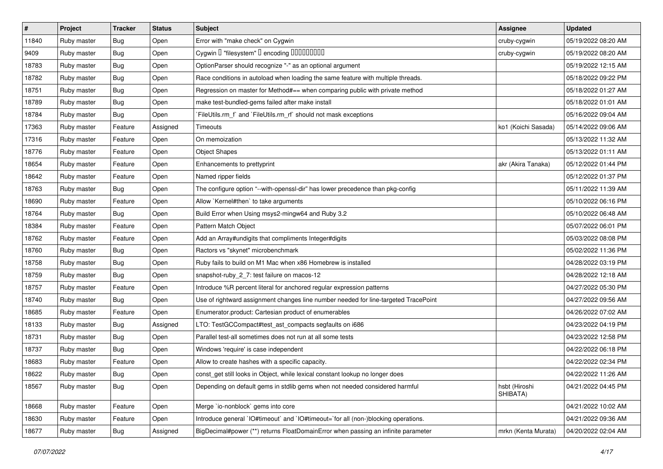| $\sharp$ | Project     | <b>Tracker</b> | <b>Status</b> | Subject                                                                             | <b>Assignee</b>           | <b>Updated</b>      |
|----------|-------------|----------------|---------------|-------------------------------------------------------------------------------------|---------------------------|---------------------|
| 11840    | Ruby master | <b>Bug</b>     | Open          | Error with "make check" on Cygwin                                                   | cruby-cygwin              | 05/19/2022 08:20 AM |
| 9409     | Ruby master | Bug            | Open          | Cygwin I "filesystem" I encoding IIIIIIIIIIIII                                      | cruby-cygwin              | 05/19/2022 08:20 AM |
| 18783    | Ruby master | Bug            | Open          | OptionParser should recognize "-" as an optional argument                           |                           | 05/19/2022 12:15 AM |
| 18782    | Ruby master | Bug            | Open          | Race conditions in autoload when loading the same feature with multiple threads.    |                           | 05/18/2022 09:22 PM |
| 18751    | Ruby master | <b>Bug</b>     | Open          | Regression on master for Method#== when comparing public with private method        |                           | 05/18/2022 01:27 AM |
| 18789    | Ruby master | Bug            | Open          | make test-bundled-gems failed after make install                                    |                           | 05/18/2022 01:01 AM |
| 18784    | Ruby master | Bug            | Open          | `FileUtils.rm_f` and `FileUtils.rm_rf` should not mask exceptions                   |                           | 05/16/2022 09:04 AM |
| 17363    | Ruby master | Feature        | Assigned      | Timeouts                                                                            | ko1 (Koichi Sasada)       | 05/14/2022 09:06 AM |
| 17316    | Ruby master | Feature        | Open          | On memoization                                                                      |                           | 05/13/2022 11:32 AM |
| 18776    | Ruby master | Feature        | Open          | <b>Object Shapes</b>                                                                |                           | 05/13/2022 01:11 AM |
| 18654    | Ruby master | Feature        | Open          | Enhancements to prettyprint                                                         | akr (Akira Tanaka)        | 05/12/2022 01:44 PM |
| 18642    | Ruby master | Feature        | Open          | Named ripper fields                                                                 |                           | 05/12/2022 01:37 PM |
| 18763    | Ruby master | Bug            | Open          | The configure option "--with-openssl-dir" has lower precedence than pkg-config      |                           | 05/11/2022 11:39 AM |
| 18690    | Ruby master | Feature        | Open          | Allow `Kernel#then` to take arguments                                               |                           | 05/10/2022 06:16 PM |
| 18764    | Ruby master | Bug            | Open          | Build Error when Using msys2-mingw64 and Ruby 3.2                                   |                           | 05/10/2022 06:48 AM |
| 18384    | Ruby master | Feature        | Open          | Pattern Match Object                                                                |                           | 05/07/2022 06:01 PM |
| 18762    | Ruby master | Feature        | Open          | Add an Array#undigits that compliments Integer#digits                               |                           | 05/03/2022 08:08 PM |
| 18760    | Ruby master | <b>Bug</b>     | Open          | Ractors vs "skynet" microbenchmark                                                  |                           | 05/02/2022 11:36 PM |
| 18758    | Ruby master | Bug            | Open          | Ruby fails to build on M1 Mac when x86 Homebrew is installed                        |                           | 04/28/2022 03:19 PM |
| 18759    | Ruby master | Bug            | Open          | snapshot-ruby_2_7: test failure on macos-12                                         |                           | 04/28/2022 12:18 AM |
| 18757    | Ruby master | Feature        | Open          | Introduce %R percent literal for anchored regular expression patterns               |                           | 04/27/2022 05:30 PM |
| 18740    | Ruby master | <b>Bug</b>     | Open          | Use of rightward assignment changes line number needed for line-targeted TracePoint |                           | 04/27/2022 09:56 AM |
| 18685    | Ruby master | Feature        | Open          | Enumerator.product: Cartesian product of enumerables                                |                           | 04/26/2022 07:02 AM |
| 18133    | Ruby master | <b>Bug</b>     | Assigned      | LTO: TestGCCompact#test_ast_compacts segfaults on i686                              |                           | 04/23/2022 04:19 PM |
| 18731    | Ruby master | Bug            | Open          | Parallel test-all sometimes does not run at all some tests                          |                           | 04/23/2022 12:58 PM |
| 18737    | Ruby master | <b>Bug</b>     | Open          | Windows 'require' is case independent                                               |                           | 04/22/2022 06:18 PM |
| 18683    | Ruby master | Feature        | Open          | Allow to create hashes with a specific capacity.                                    |                           | 04/22/2022 02:34 PM |
| 18622    | Ruby master | <b>Bug</b>     | Open          | const_get still looks in Object, while lexical constant lookup no longer does       |                           | 04/22/2022 11:26 AM |
| 18567    | Ruby master | Bug            | Open          | Depending on default gems in stdlib gems when not needed considered harmful         | hsbt (Hiroshi<br>SHIBATA) | 04/21/2022 04:45 PM |
| 18668    | Ruby master | Feature        | Open          | Merge `io-nonblock` gems into core                                                  |                           | 04/21/2022 10:02 AM |
| 18630    | Ruby master | Feature        | Open          | Introduce general `IO#timeout` and `IO#timeout=`for all (non-)blocking operations.  |                           | 04/21/2022 09:36 AM |
| 18677    | Ruby master | Bug            | Assigned      | BigDecimal#power (**) returns FloatDomainError when passing an infinite parameter   | mrkn (Kenta Murata)       | 04/20/2022 02:04 AM |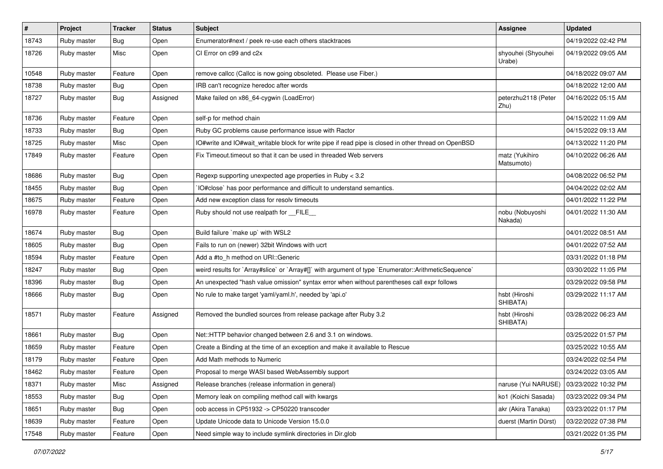| $\vert$ # | Project     | <b>Tracker</b> | <b>Status</b> | <b>Subject</b>                                                                                       | <b>Assignee</b>              | <b>Updated</b>      |
|-----------|-------------|----------------|---------------|------------------------------------------------------------------------------------------------------|------------------------------|---------------------|
| 18743     | Ruby master | <b>Bug</b>     | Open          | Enumerator#next / peek re-use each others stacktraces                                                |                              | 04/19/2022 02:42 PM |
| 18726     | Ruby master | Misc           | Open          | CI Error on c99 and c2x                                                                              | shyouhei (Shyouhei<br>Urabe) | 04/19/2022 09:05 AM |
| 10548     | Ruby master | Feature        | Open          | remove callcc (Callcc is now going obsoleted. Please use Fiber.)                                     |                              | 04/18/2022 09:07 AM |
| 18738     | Ruby master | <b>Bug</b>     | Open          | IRB can't recognize heredoc after words                                                              |                              | 04/18/2022 12:00 AM |
| 18727     | Ruby master | <b>Bug</b>     | Assigned      | Make failed on x86_64-cygwin (LoadError)                                                             | peterzhu2118 (Peter<br>Zhu)  | 04/16/2022 05:15 AM |
| 18736     | Ruby master | Feature        | Open          | self-p for method chain                                                                              |                              | 04/15/2022 11:09 AM |
| 18733     | Ruby master | <b>Bug</b>     | Open          | Ruby GC problems cause performance issue with Ractor                                                 |                              | 04/15/2022 09:13 AM |
| 18725     | Ruby master | Misc           | Open          | IO#write and IO#wait_writable block for write pipe if read pipe is closed in other thread on OpenBSD |                              | 04/13/2022 11:20 PM |
| 17849     | Ruby master | Feature        | Open          | Fix Timeout timeout so that it can be used in threaded Web servers                                   | matz (Yukihiro<br>Matsumoto) | 04/10/2022 06:26 AM |
| 18686     | Ruby master | Bug            | Open          | Regexp supporting unexpected age properties in Ruby < 3.2                                            |                              | 04/08/2022 06:52 PM |
| 18455     | Ruby master | <b>Bug</b>     | Open          | IO#close` has poor performance and difficult to understand semantics.                                |                              | 04/04/2022 02:02 AM |
| 18675     | Ruby master | Feature        | Open          | Add new exception class for resolv timeouts                                                          |                              | 04/01/2022 11:22 PM |
| 16978     | Ruby master | Feature        | Open          | Ruby should not use realpath for __FILE_                                                             | nobu (Nobuyoshi<br>Nakada)   | 04/01/2022 11:30 AM |
| 18674     | Ruby master | <b>Bug</b>     | Open          | Build failure `make up` with WSL2                                                                    |                              | 04/01/2022 08:51 AM |
| 18605     | Ruby master | Bug            | Open          | Fails to run on (newer) 32bit Windows with ucrt                                                      |                              | 04/01/2022 07:52 AM |
| 18594     | Ruby master | Feature        | Open          | Add a #to_h method on URI::Generic                                                                   |                              | 03/31/2022 01:18 PM |
| 18247     | Ruby master | <b>Bug</b>     | Open          | weird results for `Array#slice` or `Array#[]` with argument of type `Enumerator::ArithmeticSequence` |                              | 03/30/2022 11:05 PM |
| 18396     | Ruby master | <b>Bug</b>     | Open          | An unexpected "hash value omission" syntax error when without parentheses call expr follows          |                              | 03/29/2022 09:58 PM |
| 18666     | Ruby master | <b>Bug</b>     | Open          | No rule to make target 'yaml/yaml.h', needed by 'api.o'                                              | hsbt (Hiroshi<br>SHIBATA)    | 03/29/2022 11:17 AM |
| 18571     | Ruby master | Feature        | Assigned      | Removed the bundled sources from release package after Ruby 3.2                                      | hsbt (Hiroshi<br>SHIBATA)    | 03/28/2022 06:23 AM |
| 18661     | Ruby master | <b>Bug</b>     | Open          | Net::HTTP behavior changed between 2.6 and 3.1 on windows.                                           |                              | 03/25/2022 01:57 PM |
| 18659     | Ruby master | Feature        | Open          | Create a Binding at the time of an exception and make it available to Rescue                         |                              | 03/25/2022 10:55 AM |
| 18179     | Ruby master | Feature        | Open          | Add Math methods to Numeric                                                                          |                              | 03/24/2022 02:54 PM |
| 18462     | Ruby master | Feature        | Open          | Proposal to merge WASI based WebAssembly support                                                     |                              | 03/24/2022 03:05 AM |
| 18371     | Ruby master | Misc           | Assigned      | Release branches (release information in general)                                                    | naruse (Yui NARUSE)          | 03/23/2022 10:32 PM |
| 18553     | Ruby master | <b>Bug</b>     | Open          | Memory leak on compiling method call with kwargs                                                     | ko1 (Koichi Sasada)          | 03/23/2022 09:34 PM |
| 18651     | Ruby master | <b>Bug</b>     | Open          | oob access in CP51932 -> CP50220 transcoder                                                          | akr (Akira Tanaka)           | 03/23/2022 01:17 PM |
| 18639     | Ruby master | Feature        | Open          | Update Unicode data to Unicode Version 15.0.0                                                        | duerst (Martin Dürst)        | 03/22/2022 07:38 PM |
| 17548     | Ruby master | Feature        | Open          | Need simple way to include symlink directories in Dir.glob                                           |                              | 03/21/2022 01:35 PM |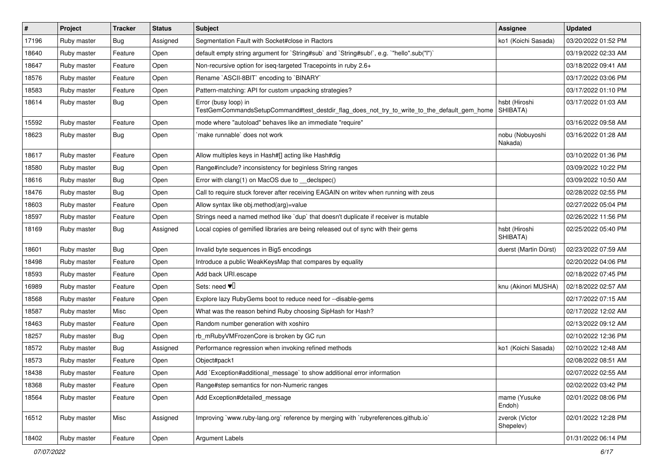| $\sharp$ | Project     | <b>Tracker</b> | <b>Status</b> | Subject                                                                                                             | <b>Assignee</b>             | <b>Updated</b>      |
|----------|-------------|----------------|---------------|---------------------------------------------------------------------------------------------------------------------|-----------------------------|---------------------|
| 17196    | Ruby master | <b>Bug</b>     | Assigned      | Segmentation Fault with Socket#close in Ractors                                                                     | ko1 (Koichi Sasada)         | 03/20/2022 01:52 PM |
| 18640    | Ruby master | Feature        | Open          | default empty string argument for `String#sub` and `String#sub!`, e.g. `"hello".sub("I")`                           |                             | 03/19/2022 02:33 AM |
| 18647    | Ruby master | Feature        | Open          | Non-recursive option for iseq-targeted Tracepoints in ruby 2.6+                                                     |                             | 03/18/2022 09:41 AM |
| 18576    | Ruby master | Feature        | Open          | Rename `ASCII-8BIT` encoding to `BINARY`                                                                            |                             | 03/17/2022 03:06 PM |
| 18583    | Ruby master | Feature        | Open          | Pattern-matching: API for custom unpacking strategies?                                                              |                             | 03/17/2022 01:10 PM |
| 18614    | Ruby master | Bug            | Open          | Error (busy loop) in<br>TestGemCommandsSetupCommand#test_destdir_flag_does_not_try_to_write_to_the_default_gem_home | hsbt (Hiroshi<br>SHIBATA)   | 03/17/2022 01:03 AM |
| 15592    | Ruby master | Feature        | Open          | mode where "autoload" behaves like an immediate "require"                                                           |                             | 03/16/2022 09:58 AM |
| 18623    | Ruby master | Bug            | Open          | `make runnable` does not work                                                                                       | nobu (Nobuyoshi<br>Nakada)  | 03/16/2022 01:28 AM |
| 18617    | Ruby master | Feature        | Open          | Allow multiples keys in Hash#[] acting like Hash#dig                                                                |                             | 03/10/2022 01:36 PM |
| 18580    | Ruby master | Bug            | Open          | Range#include? inconsistency for beginless String ranges                                                            |                             | 03/09/2022 10:22 PM |
| 18616    | Ruby master | Bug            | Open          | Error with clang(1) on MacOS due to _declspec()                                                                     |                             | 03/09/2022 10:50 AM |
| 18476    | Ruby master | Bug            | Open          | Call to require stuck forever after receiving EAGAIN on writev when running with zeus                               |                             | 02/28/2022 02:55 PM |
| 18603    | Ruby master | Feature        | Open          | Allow syntax like obj.method(arg)=value                                                                             |                             | 02/27/2022 05:04 PM |
| 18597    | Ruby master | Feature        | Open          | Strings need a named method like `dup` that doesn't duplicate if receiver is mutable                                |                             | 02/26/2022 11:56 PM |
| 18169    | Ruby master | Bug            | Assigned      | Local copies of gemified libraries are being released out of sync with their gems                                   | hsbt (Hiroshi<br>SHIBATA)   | 02/25/2022 05:40 PM |
| 18601    | Ruby master | Bug            | Open          | Invalid byte sequences in Big5 encodings                                                                            | duerst (Martin Dürst)       | 02/23/2022 07:59 AM |
| 18498    | Ruby master | Feature        | Open          | Introduce a public WeakKeysMap that compares by equality                                                            |                             | 02/20/2022 04:06 PM |
| 18593    | Ruby master | Feature        | Open          | Add back URI.escape                                                                                                 |                             | 02/18/2022 07:45 PM |
| 16989    | Ruby master | Feature        | Open          | Sets: need $\Psi$ <sup>[]</sup>                                                                                     | knu (Akinori MUSHA)         | 02/18/2022 02:57 AM |
| 18568    | Ruby master | Feature        | Open          | Explore lazy RubyGems boot to reduce need for --disable-gems                                                        |                             | 02/17/2022 07:15 AM |
| 18587    | Ruby master | Misc           | Open          | What was the reason behind Ruby choosing SipHash for Hash?                                                          |                             | 02/17/2022 12:02 AM |
| 18463    | Ruby master | Feature        | Open          | Random number generation with xoshiro                                                                               |                             | 02/13/2022 09:12 AM |
| 18257    | Ruby master | <b>Bug</b>     | Open          | rb_mRubyVMFrozenCore is broken by GC run                                                                            |                             | 02/10/2022 12:36 PM |
| 18572    | Ruby master | <b>Bug</b>     | Assigned      | Performance regression when invoking refined methods                                                                | ko1 (Koichi Sasada)         | 02/10/2022 12:48 AM |
| 18573    | Ruby master | Feature        | Open          | Object#pack1                                                                                                        |                             | 02/08/2022 08:51 AM |
| 18438    | Ruby master | Feature        | Open          | Add `Exception#additional_message` to show additional error information                                             |                             | 02/07/2022 02:55 AM |
| 18368    | Ruby master | Feature        | Open          | Range#step semantics for non-Numeric ranges                                                                         |                             | 02/02/2022 03:42 PM |
| 18564    | Ruby master | Feature        | Open          | Add Exception#detailed_message                                                                                      | mame (Yusuke<br>Endoh)      | 02/01/2022 08:06 PM |
| 16512    | Ruby master | Misc           | Assigned      | Improving `www.ruby-lang.org` reference by merging with `rubyreferences.github.io`                                  | zverok (Victor<br>Shepelev) | 02/01/2022 12:28 PM |
| 18402    | Ruby master | Feature        | Open          | Argument Labels                                                                                                     |                             | 01/31/2022 06:14 PM |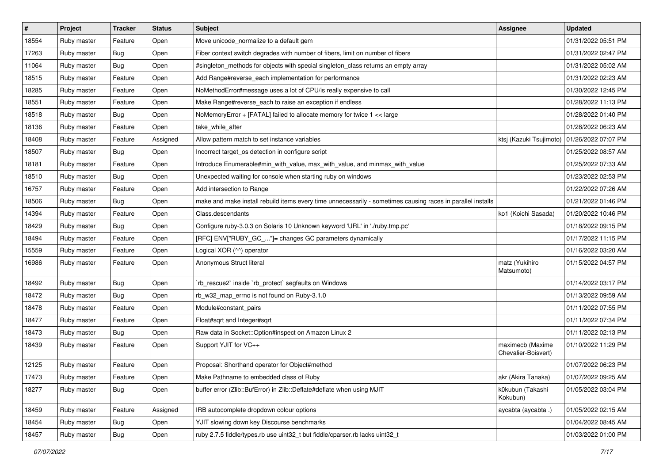| $\vert$ # | Project     | <b>Tracker</b> | <b>Status</b> | Subject                                                                                                     | <b>Assignee</b>                               | <b>Updated</b>      |
|-----------|-------------|----------------|---------------|-------------------------------------------------------------------------------------------------------------|-----------------------------------------------|---------------------|
| 18554     | Ruby master | Feature        | Open          | Move unicode_normalize to a default gem                                                                     |                                               | 01/31/2022 05:51 PM |
| 17263     | Ruby master | <b>Bug</b>     | Open          | Fiber context switch degrades with number of fibers, limit on number of fibers                              |                                               | 01/31/2022 02:47 PM |
| 11064     | Ruby master | Bug            | Open          | #singleton_methods for objects with special singleton_class returns an empty array                          |                                               | 01/31/2022 05:02 AM |
| 18515     | Ruby master | Feature        | Open          | Add Range#reverse_each implementation for performance                                                       |                                               | 01/31/2022 02:23 AM |
| 18285     | Ruby master | Feature        | Open          | NoMethodError#message uses a lot of CPU/is really expensive to call                                         |                                               | 01/30/2022 12:45 PM |
| 18551     | Ruby master | Feature        | Open          | Make Range#reverse_each to raise an exception if endless                                                    |                                               | 01/28/2022 11:13 PM |
| 18518     | Ruby master | <b>Bug</b>     | Open          | NoMemoryError + [FATAL] failed to allocate memory for twice 1 << large                                      |                                               | 01/28/2022 01:40 PM |
| 18136     | Ruby master | Feature        | Open          | take_while_after                                                                                            |                                               | 01/28/2022 06:23 AM |
| 18408     | Ruby master | Feature        | Assigned      | Allow pattern match to set instance variables                                                               | ktsj (Kazuki Tsujimoto)   01/26/2022 07:07 PM |                     |
| 18507     | Ruby master | Bug            | Open          | Incorrect target_os detection in configure script                                                           |                                               | 01/25/2022 08:57 AM |
| 18181     | Ruby master | Feature        | Open          | Introduce Enumerable#min with value, max with value, and minmax with value                                  |                                               | 01/25/2022 07:33 AM |
| 18510     | Ruby master | <b>Bug</b>     | Open          | Unexpected waiting for console when starting ruby on windows                                                |                                               | 01/23/2022 02:53 PM |
| 16757     | Ruby master | Feature        | Open          | Add intersection to Range                                                                                   |                                               | 01/22/2022 07:26 AM |
| 18506     | Ruby master | <b>Bug</b>     | Open          | make and make install rebuild items every time unnecessarily - sometimes causing races in parallel installs |                                               | 01/21/2022 01:46 PM |
| 14394     | Ruby master | Feature        | Open          | Class.descendants                                                                                           | ko1 (Koichi Sasada)                           | 01/20/2022 10:46 PM |
| 18429     | Ruby master | <b>Bug</b>     | Open          | Configure ruby-3.0.3 on Solaris 10 Unknown keyword 'URL' in './ruby.tmp.pc'                                 |                                               | 01/18/2022 09:15 PM |
| 18494     | Ruby master | Feature        | Open          | [RFC] ENV["RUBY_GC_"]= changes GC parameters dynamically                                                    |                                               | 01/17/2022 11:15 PM |
| 15559     | Ruby master | Feature        | Open          | Logical XOR (^^) operator                                                                                   |                                               | 01/16/2022 03:20 AM |
| 16986     | Ruby master | Feature        | Open          | Anonymous Struct literal                                                                                    | matz (Yukihiro<br>Matsumoto)                  | 01/15/2022 04:57 PM |
| 18492     | Ruby master | Bug            | Open          | 'rb_rescue2` inside 'rb_protect' segfaults on Windows                                                       |                                               | 01/14/2022 03:17 PM |
| 18472     | Ruby master | Bug            | Open          | rb_w32_map_errno is not found on Ruby-3.1.0                                                                 |                                               | 01/13/2022 09:59 AM |
| 18478     | Ruby master | Feature        | Open          | Module#constant_pairs                                                                                       |                                               | 01/11/2022 07:55 PM |
| 18477     | Ruby master | Feature        | Open          | Float#sqrt and Integer#sqrt                                                                                 |                                               | 01/11/2022 07:34 PM |
| 18473     | Ruby master | <b>Bug</b>     | Open          | Raw data in Socket::Option#inspect on Amazon Linux 2                                                        |                                               | 01/11/2022 02:13 PM |
| 18439     | Ruby master | Feature        | Open          | Support YJIT for VC++                                                                                       | maximecb (Maxime<br>Chevalier-Boisvert)       | 01/10/2022 11:29 PM |
| 12125     | Ruby master | Feature        | Open          | Proposal: Shorthand operator for Object#method                                                              |                                               | 01/07/2022 06:23 PM |
| 17473     | Ruby master | Feature        | Open          | Make Pathname to embedded class of Ruby                                                                     | akr (Akira Tanaka)                            | 01/07/2022 09:25 AM |
| 18277     | Ruby master | <b>Bug</b>     | Open          | buffer error (Zlib::BufError) in Zlib::Deflate#deflate when using MJIT                                      | k0kubun (Takashi<br>Kokubun)                  | 01/05/2022 03:04 PM |
| 18459     | Ruby master | Feature        | Assigned      | IRB autocomplete dropdown colour options                                                                    | aycabta (aycabta.)                            | 01/05/2022 02:15 AM |
| 18454     | Ruby master | <b>Bug</b>     | Open          | YJIT slowing down key Discourse benchmarks                                                                  |                                               | 01/04/2022 08:45 AM |
| 18457     | Ruby master | <b>Bug</b>     | Open          | ruby 2.7.5 fiddle/types.rb use uint32_t but fiddle/cparser.rb lacks uint32_t                                |                                               | 01/03/2022 01:00 PM |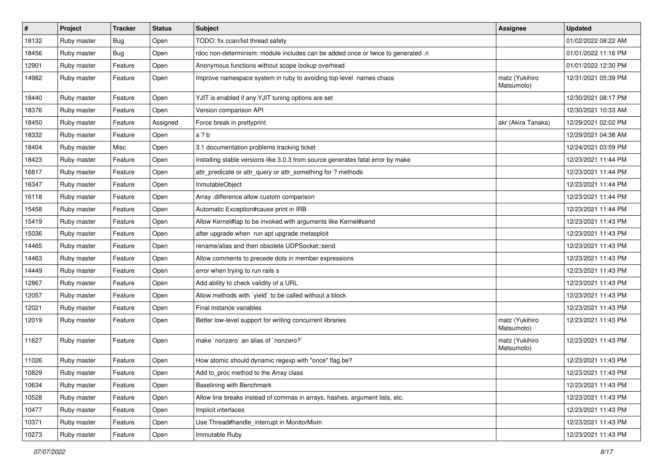| $\vert$ # | Project     | <b>Tracker</b> | <b>Status</b> | Subject                                                                           | <b>Assignee</b>              | <b>Updated</b>      |
|-----------|-------------|----------------|---------------|-----------------------------------------------------------------------------------|------------------------------|---------------------|
| 18132     | Ruby master | Bug            | Open          | TODO: fix ccan/list thread safety                                                 |                              | 01/02/2022 08:22 AM |
| 18456     | Ruby master | Bug            | Open          | rdoc non-determinism: module includes can be added once or twice to generated .ri |                              | 01/01/2022 11:16 PM |
| 12901     | Ruby master | Feature        | Open          | Anonymous functions without scope lookup overhead                                 |                              | 01/01/2022 12:30 PM |
| 14982     | Ruby master | Feature        | Open          | Improve namespace system in ruby to avoiding top-level names chaos                | matz (Yukihiro<br>Matsumoto) | 12/31/2021 05:39 PM |
| 18440     | Ruby master | Feature        | Open          | YJIT is enabled if any YJIT tuning options are set                                |                              | 12/30/2021 08:17 PM |
| 18376     | Ruby master | Feature        | Open          | Version comparison API                                                            |                              | 12/30/2021 10:33 AM |
| 18450     | Ruby master | Feature        | Assigned      | Force break in prettyprint                                                        | akr (Akira Tanaka)           | 12/29/2021 02:02 PM |
| 18332     | Ruby master | Feature        | Open          | a ? b                                                                             |                              | 12/29/2021 04:38 AM |
| 18404     | Ruby master | Misc           | Open          | 3.1 documentation problems tracking ticket                                        |                              | 12/24/2021 03:59 PM |
| 18423     | Ruby master | Feature        | Open          | Installing stable versions like 3.0.3 from source generates fatal error by make   |                              | 12/23/2021 11:44 PM |
| 16817     | Ruby master | Feature        | Open          | attr_predicate or attr_query or attr_something for ? methods                      |                              | 12/23/2021 11:44 PM |
| 16347     | Ruby master | Feature        | Open          | InmutableObject                                                                   |                              | 12/23/2021 11:44 PM |
| 16118     | Ruby master | Feature        | Open          | Array .difference allow custom comparison                                         |                              | 12/23/2021 11:44 PM |
| 15458     | Ruby master | Feature        | Open          | Automatic Exception#cause print in IRB                                            |                              | 12/23/2021 11:44 PM |
| 15419     | Ruby master | Feature        | Open          | Allow Kernel#tap to be invoked with arguments like Kernel#send                    |                              | 12/23/2021 11:43 PM |
| 15036     | Ruby master | Feature        | Open          | after upgrade when run apt upgrade metasploit                                     |                              | 12/23/2021 11:43 PM |
| 14465     | Ruby master | Feature        | Open          | rename/alias and then obsolete UDPSocket::send                                    |                              | 12/23/2021 11:43 PM |
| 14463     | Ruby master | Feature        | Open          | Allow comments to precede dots in member expressions                              |                              | 12/23/2021 11:43 PM |
| 14449     | Ruby master | Feature        | Open          | error when trying to run rails s                                                  |                              | 12/23/2021 11:43 PM |
| 12867     | Ruby master | Feature        | Open          | Add ability to check validity of a URL                                            |                              | 12/23/2021 11:43 PM |
| 12057     | Ruby master | Feature        | Open          | Allow methods with `yield` to be called without a block                           |                              | 12/23/2021 11:43 PM |
| 12021     | Ruby master | Feature        | Open          | Final instance variables                                                          |                              | 12/23/2021 11:43 PM |
| 12019     | Ruby master | Feature        | Open          | Better low-level support for writing concurrent libraries                         | matz (Yukihiro<br>Matsumoto) | 12/23/2021 11:43 PM |
| 11627     | Ruby master | Feature        | Open          | make `nonzero` an alias of `nonzero?`                                             | matz (Yukihiro<br>Matsumoto) | 12/23/2021 11:43 PM |
| 11026     | Ruby master | Feature        | Open          | How atomic should dynamic regexp with "once" flag be?                             |                              | 12/23/2021 11:43 PM |
| 10829     | Ruby master | Feature        | Open          | Add to_proc method to the Array class                                             |                              | 12/23/2021 11:43 PM |
| 10634     | Ruby master | Feature        | Open          | Baselining with Benchmark                                                         |                              | 12/23/2021 11:43 PM |
| 10528     | Ruby master | Feature        | Open          | Allow line breaks instead of commas in arrays, hashes, argument lists, etc.       |                              | 12/23/2021 11:43 PM |
| 10477     | Ruby master | Feature        | Open          | Implicit interfaces                                                               |                              | 12/23/2021 11:43 PM |
| 10371     | Ruby master | Feature        | Open          | Use Thread#handle_interrupt in MonitorMixin                                       |                              | 12/23/2021 11:43 PM |
| 10273     | Ruby master | Feature        | Open          | Immutable Ruby                                                                    |                              | 12/23/2021 11:43 PM |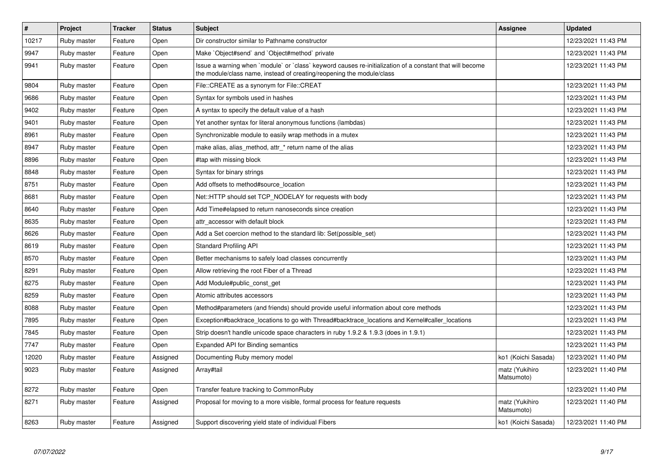| $\vert$ # | Project     | <b>Tracker</b> | <b>Status</b> | <b>Subject</b>                                                                                                                                                                    | Assignee                     | <b>Updated</b>      |
|-----------|-------------|----------------|---------------|-----------------------------------------------------------------------------------------------------------------------------------------------------------------------------------|------------------------------|---------------------|
| 10217     | Ruby master | Feature        | Open          | Dir constructor similar to Pathname constructor                                                                                                                                   |                              | 12/23/2021 11:43 PM |
| 9947      | Ruby master | Feature        | Open          | Make `Object#send` and `Object#method` private                                                                                                                                    |                              | 12/23/2021 11:43 PM |
| 9941      | Ruby master | Feature        | Open          | Issue a warning when `module` or `class` keyword causes re-initialization of a constant that will become<br>the module/class name, instead of creating/reopening the module/class |                              | 12/23/2021 11:43 PM |
| 9804      | Ruby master | Feature        | Open          | File::CREATE as a synonym for File::CREAT                                                                                                                                         |                              | 12/23/2021 11:43 PM |
| 9686      | Ruby master | Feature        | Open          | Syntax for symbols used in hashes                                                                                                                                                 |                              | 12/23/2021 11:43 PM |
| 9402      | Ruby master | Feature        | Open          | A syntax to specify the default value of a hash                                                                                                                                   |                              | 12/23/2021 11:43 PM |
| 9401      | Ruby master | Feature        | Open          | Yet another syntax for literal anonymous functions (lambdas)                                                                                                                      |                              | 12/23/2021 11:43 PM |
| 8961      | Ruby master | Feature        | Open          | Synchronizable module to easily wrap methods in a mutex                                                                                                                           |                              | 12/23/2021 11:43 PM |
| 8947      | Ruby master | Feature        | Open          | make alias, alias_method, attr_* return name of the alias                                                                                                                         |                              | 12/23/2021 11:43 PM |
| 8896      | Ruby master | Feature        | Open          | #tap with missing block                                                                                                                                                           |                              | 12/23/2021 11:43 PM |
| 8848      | Ruby master | Feature        | Open          | Syntax for binary strings                                                                                                                                                         |                              | 12/23/2021 11:43 PM |
| 8751      | Ruby master | Feature        | Open          | Add offsets to method#source location                                                                                                                                             |                              | 12/23/2021 11:43 PM |
| 8681      | Ruby master | Feature        | Open          | Net::HTTP should set TCP_NODELAY for requests with body                                                                                                                           |                              | 12/23/2021 11:43 PM |
| 8640      | Ruby master | Feature        | Open          | Add Time#elapsed to return nanoseconds since creation                                                                                                                             |                              | 12/23/2021 11:43 PM |
| 8635      | Ruby master | Feature        | Open          | attr accessor with default block                                                                                                                                                  |                              | 12/23/2021 11:43 PM |
| 8626      | Ruby master | Feature        | Open          | Add a Set coercion method to the standard lib: Set (possible set)                                                                                                                 |                              | 12/23/2021 11:43 PM |
| 8619      | Ruby master | Feature        | Open          | <b>Standard Profiling API</b>                                                                                                                                                     |                              | 12/23/2021 11:43 PM |
| 8570      | Ruby master | Feature        | Open          | Better mechanisms to safely load classes concurrently                                                                                                                             |                              | 12/23/2021 11:43 PM |
| 8291      | Ruby master | Feature        | Open          | Allow retrieving the root Fiber of a Thread                                                                                                                                       |                              | 12/23/2021 11:43 PM |
| 8275      | Ruby master | Feature        | Open          | Add Module#public_const_get                                                                                                                                                       |                              | 12/23/2021 11:43 PM |
| 8259      | Ruby master | Feature        | Open          | Atomic attributes accessors                                                                                                                                                       |                              | 12/23/2021 11:43 PM |
| 8088      | Ruby master | Feature        | Open          | Method#parameters (and friends) should provide useful information about core methods                                                                                              |                              | 12/23/2021 11:43 PM |
| 7895      | Ruby master | Feature        | Open          | Exception#backtrace_locations to go with Thread#backtrace_locations and Kernel#caller_locations                                                                                   |                              | 12/23/2021 11:43 PM |
| 7845      | Ruby master | Feature        | Open          | Strip doesn't handle unicode space characters in ruby 1.9.2 & 1.9.3 (does in 1.9.1)                                                                                               |                              | 12/23/2021 11:43 PM |
| 7747      | Ruby master | Feature        | Open          | Expanded API for Binding semantics                                                                                                                                                |                              | 12/23/2021 11:43 PM |
| 12020     | Ruby master | Feature        | Assigned      | Documenting Ruby memory model                                                                                                                                                     | ko1 (Koichi Sasada)          | 12/23/2021 11:40 PM |
| 9023      | Ruby master | Feature        | Assigned      | Array#tail                                                                                                                                                                        | matz (Yukihiro<br>Matsumoto) | 12/23/2021 11:40 PM |
| 8272      | Ruby master | Feature        | Open          | Transfer feature tracking to CommonRuby                                                                                                                                           |                              | 12/23/2021 11:40 PM |
| 8271      | Ruby master | Feature        | Assigned      | Proposal for moving to a more visible, formal process for feature requests                                                                                                        | matz (Yukihiro<br>Matsumoto) | 12/23/2021 11:40 PM |
| 8263      | Ruby master | Feature        | Assigned      | Support discovering yield state of individual Fibers                                                                                                                              | ko1 (Koichi Sasada)          | 12/23/2021 11:40 PM |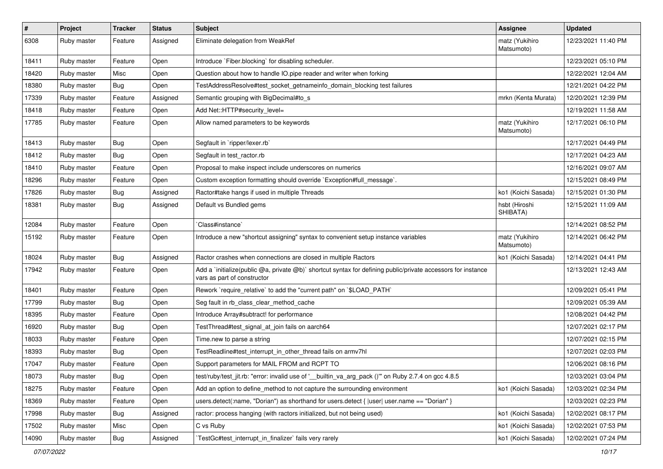| $\sharp$ | <b>Project</b> | <b>Tracker</b> | <b>Status</b> | Subject                                                                                                                                     | Assignee                     | <b>Updated</b>      |
|----------|----------------|----------------|---------------|---------------------------------------------------------------------------------------------------------------------------------------------|------------------------------|---------------------|
| 6308     | Ruby master    | Feature        | Assigned      | Eliminate delegation from WeakRef                                                                                                           | matz (Yukihiro<br>Matsumoto) | 12/23/2021 11:40 PM |
| 18411    | Ruby master    | Feature        | Open          | Introduce `Fiber.blocking` for disabling scheduler.                                                                                         |                              | 12/23/2021 05:10 PM |
| 18420    | Ruby master    | Misc           | Open          | Question about how to handle IO.pipe reader and writer when forking                                                                         |                              | 12/22/2021 12:04 AM |
| 18380    | Ruby master    | Bug            | Open          | TestAddressResolve#test_socket_getnameinfo_domain_blocking test failures                                                                    |                              | 12/21/2021 04:22 PM |
| 17339    | Ruby master    | Feature        | Assigned      | Semantic grouping with BigDecimal#to_s                                                                                                      | mrkn (Kenta Murata)          | 12/20/2021 12:39 PM |
| 18418    | Ruby master    | Feature        | Open          | Add Net::HTTP#security_level=                                                                                                               |                              | 12/19/2021 11:58 AM |
| 17785    | Ruby master    | Feature        | Open          | Allow named parameters to be keywords                                                                                                       | matz (Yukihiro<br>Matsumoto) | 12/17/2021 06:10 PM |
| 18413    | Ruby master    | <b>Bug</b>     | Open          | Segfault in `ripper/lexer.rb`                                                                                                               |                              | 12/17/2021 04:49 PM |
| 18412    | Ruby master    | <b>Bug</b>     | Open          | Segfault in test_ractor.rb                                                                                                                  |                              | 12/17/2021 04:23 AM |
| 18410    | Ruby master    | Feature        | Open          | Proposal to make inspect include underscores on numerics                                                                                    |                              | 12/16/2021 09:07 AM |
| 18296    | Ruby master    | Feature        | Open          | Custom exception formatting should override `Exception#full_message`.                                                                       |                              | 12/15/2021 08:49 PM |
| 17826    | Ruby master    | <b>Bug</b>     | Assigned      | Ractor#take hangs if used in multiple Threads                                                                                               | ko1 (Koichi Sasada)          | 12/15/2021 01:30 PM |
| 18381    | Ruby master    | Bug            | Assigned      | Default vs Bundled gems                                                                                                                     | hsbt (Hiroshi<br>SHIBATA)    | 12/15/2021 11:09 AM |
| 12084    | Ruby master    | Feature        | Open          | Class#instance`                                                                                                                             |                              | 12/14/2021 08:52 PM |
| 15192    | Ruby master    | Feature        | Open          | Introduce a new "shortcut assigning" syntax to convenient setup instance variables                                                          | matz (Yukihiro<br>Matsumoto) | 12/14/2021 06:42 PM |
| 18024    | Ruby master    | Bug            | Assigned      | Ractor crashes when connections are closed in multiple Ractors                                                                              | ko1 (Koichi Sasada)          | 12/14/2021 04:41 PM |
| 17942    | Ruby master    | Feature        | Open          | Add a `initialize(public @a, private @b)` shortcut syntax for defining public/private accessors for instance<br>vars as part of constructor |                              | 12/13/2021 12:43 AM |
| 18401    | Ruby master    | Feature        | Open          | Rework `require_relative` to add the "current path" on `\$LOAD_PATH`                                                                        |                              | 12/09/2021 05:41 PM |
| 17799    | Ruby master    | Bug            | Open          | Seg fault in rb_class_clear_method_cache                                                                                                    |                              | 12/09/2021 05:39 AM |
| 18395    | Ruby master    | Feature        | Open          | Introduce Array#subtract! for performance                                                                                                   |                              | 12/08/2021 04:42 PM |
| 16920    | Ruby master    | <b>Bug</b>     | Open          | TestThread#test_signal_at_join fails on aarch64                                                                                             |                              | 12/07/2021 02:17 PM |
| 18033    | Ruby master    | Feature        | Open          | Time.new to parse a string                                                                                                                  |                              | 12/07/2021 02:15 PM |
| 18393    | Ruby master    | Bug            | Open          | TestReadline#test interrupt in other thread fails on armv7hl                                                                                |                              | 12/07/2021 02:03 PM |
| 17047    | Ruby master    | Feature        | Open          | Support parameters for MAIL FROM and RCPT TO                                                                                                |                              | 12/06/2021 08:16 PM |
| 18073    | Ruby master    | Bug            | Open          | test/ruby/test_jit.rb: "error: invalid use of '__builtin_va_arg_pack ()"" on Ruby 2.7.4 on gcc 4.8.5                                        |                              | 12/03/2021 03:04 PM |
| 18275    | Ruby master    | Feature        | Open          | Add an option to define_method to not capture the surrounding environment                                                                   | ko1 (Koichi Sasada)          | 12/03/2021 02:34 PM |
| 18369    | Ruby master    | Feature        | Open          | users.detect(:name, "Dorian") as shorthand for users.detect {  user  user.name == "Dorian" }                                                |                              | 12/03/2021 02:23 PM |
| 17998    | Ruby master    | Bug            | Assigned      | ractor: process hanging (with ractors initialized, but not being used)                                                                      | ko1 (Koichi Sasada)          | 12/02/2021 08:17 PM |
| 17502    | Ruby master    | Misc           | Open          | C vs Ruby                                                                                                                                   | ko1 (Koichi Sasada)          | 12/02/2021 07:53 PM |
| 14090    | Ruby master    | Bug            | Assigned      | TestGc#test_interrupt_in_finalizer` fails very rarely                                                                                       | ko1 (Koichi Sasada)          | 12/02/2021 07:24 PM |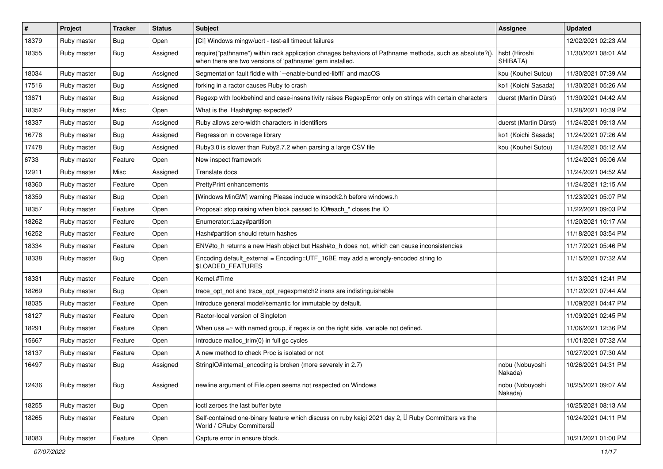| $\vert$ # | Project     | <b>Tracker</b> | <b>Status</b> | Subject                                                                                                                                                             | Assignee                   | <b>Updated</b>      |
|-----------|-------------|----------------|---------------|---------------------------------------------------------------------------------------------------------------------------------------------------------------------|----------------------------|---------------------|
| 18379     | Ruby master | <b>Bug</b>     | Open          | [CI] Windows mingw/ucrt - test-all timeout failures                                                                                                                 |                            | 12/02/2021 02:23 AM |
| 18355     | Ruby master | Bug            | Assigned      | require("pathname") within rack application chnages behaviors of Pathname methods, such as absolute?(),<br>when there are two versions of 'pathname' gem installed. | hsbt (Hiroshi<br>SHIBATA)  | 11/30/2021 08:01 AM |
| 18034     | Ruby master | <b>Bug</b>     | Assigned      | Segmentation fault fiddle with `--enable-bundled-libffi` and macOS                                                                                                  | kou (Kouhei Sutou)         | 11/30/2021 07:39 AM |
| 17516     | Ruby master | <b>Bug</b>     | Assigned      | forking in a ractor causes Ruby to crash                                                                                                                            | ko1 (Koichi Sasada)        | 11/30/2021 05:26 AM |
| 13671     | Ruby master | <b>Bug</b>     | Assigned      | Regexp with lookbehind and case-insensitivity raises RegexpError only on strings with certain characters                                                            | duerst (Martin Dürst)      | 11/30/2021 04:42 AM |
| 18352     | Ruby master | Misc           | Open          | What is the Hash#grep expected?                                                                                                                                     |                            | 11/28/2021 10:39 PM |
| 18337     | Ruby master | <b>Bug</b>     | Assigned      | Ruby allows zero-width characters in identifiers                                                                                                                    | duerst (Martin Dürst)      | 11/24/2021 09:13 AM |
| 16776     | Ruby master | <b>Bug</b>     | Assigned      | Regression in coverage library                                                                                                                                      | ko1 (Koichi Sasada)        | 11/24/2021 07:26 AM |
| 17478     | Ruby master | Bug            | Assigned      | Ruby3.0 is slower than Ruby2.7.2 when parsing a large CSV file                                                                                                      | kou (Kouhei Sutou)         | 11/24/2021 05:12 AM |
| 6733      | Ruby master | Feature        | Open          | New inspect framework                                                                                                                                               |                            | 11/24/2021 05:06 AM |
| 12911     | Ruby master | Misc           | Assigned      | Translate docs                                                                                                                                                      |                            | 11/24/2021 04:52 AM |
| 18360     | Ruby master | Feature        | Open          | <b>PrettyPrint enhancements</b>                                                                                                                                     |                            | 11/24/2021 12:15 AM |
| 18359     | Ruby master | Bug            | Open          | [Windows MinGW] warning Please include winsock2.h before windows.h                                                                                                  |                            | 11/23/2021 05:07 PM |
| 18357     | Ruby master | Feature        | Open          | Proposal: stop raising when block passed to IO#each * closes the IO                                                                                                 |                            | 11/22/2021 09:03 PM |
| 18262     | Ruby master | Feature        | Open          | Enumerator::Lazy#partition                                                                                                                                          |                            | 11/20/2021 10:17 AM |
| 16252     | Ruby master | Feature        | Open          | Hash#partition should return hashes                                                                                                                                 |                            | 11/18/2021 03:54 PM |
| 18334     | Ruby master | Feature        | Open          | ENV#to_h returns a new Hash object but Hash#to_h does not, which can cause inconsistencies                                                                          |                            | 11/17/2021 05:46 PM |
| 18338     | Ruby master | Bug            | Open          | Encoding.default_external = Encoding::UTF_16BE may add a wrongly-encoded string to<br>\$LOADED_FEATURES                                                             |                            | 11/15/2021 07:32 AM |
| 18331     | Ruby master | Feature        | Open          | Kernel.#Time                                                                                                                                                        |                            | 11/13/2021 12:41 PM |
| 18269     | Ruby master | <b>Bug</b>     | Open          | trace opt not and trace opt regexpmatch2 insns are indistinguishable                                                                                                |                            | 11/12/2021 07:44 AM |
| 18035     | Ruby master | Feature        | Open          | Introduce general model/semantic for immutable by default.                                                                                                          |                            | 11/09/2021 04:47 PM |
| 18127     | Ruby master | Feature        | Open          | Ractor-local version of Singleton                                                                                                                                   |                            | 11/09/2021 02:45 PM |
| 18291     | Ruby master | Feature        | Open          | When use $=$ with named group, if regex is on the right side, variable not defined.                                                                                 |                            | 11/06/2021 12:36 PM |
| 15667     | Ruby master | Feature        | Open          | Introduce malloc_trim(0) in full gc cycles                                                                                                                          |                            | 11/01/2021 07:32 AM |
| 18137     | Ruby master | Feature        | Open          | A new method to check Proc is isolated or not                                                                                                                       |                            | 10/27/2021 07:30 AM |
| 16497     | Ruby master | Bug            | Assigned      | StringIO#internal_encoding is broken (more severely in 2.7)                                                                                                         | nobu (Nobuyoshi<br>Nakada) | 10/26/2021 04:31 PM |
| 12436     | Ruby master | <b>Bug</b>     | Assigned      | newline argument of File.open seems not respected on Windows                                                                                                        | nobu (Nobuyoshi<br>Nakada) | 10/25/2021 09:07 AM |
| 18255     | Ruby master | Bug            | Open          | ioctl zeroes the last buffer byte                                                                                                                                   |                            | 10/25/2021 08:13 AM |
| 18265     | Ruby master | Feature        | Open          | Self-contained one-binary feature which discuss on ruby kaigi 2021 day 2, $\mathbb I$ Ruby Committers vs the<br>World / CRuby Committers                            |                            | 10/24/2021 04:11 PM |
| 18083     | Ruby master | Feature        | Open          | Capture error in ensure block.                                                                                                                                      |                            | 10/21/2021 01:00 PM |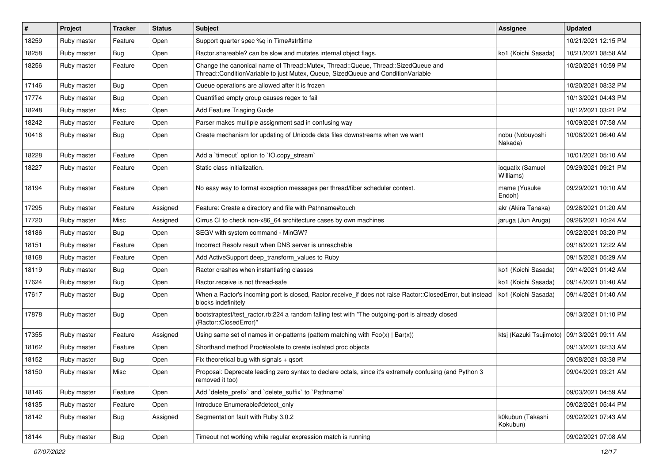| $\vert$ # | Project     | <b>Tracker</b> | <b>Status</b> | <b>Subject</b>                                                                                                                                                        | Assignee                      | <b>Updated</b>      |
|-----------|-------------|----------------|---------------|-----------------------------------------------------------------------------------------------------------------------------------------------------------------------|-------------------------------|---------------------|
| 18259     | Ruby master | Feature        | Open          | Support quarter spec %q in Time#strftime                                                                                                                              |                               | 10/21/2021 12:15 PM |
| 18258     | Ruby master | <b>Bug</b>     | Open          | Ractor.shareable? can be slow and mutates internal object flags.                                                                                                      | ko1 (Koichi Sasada)           | 10/21/2021 08:58 AM |
| 18256     | Ruby master | Feature        | Open          | Change the canonical name of Thread::Mutex, Thread::Queue, Thread::SizedQueue and<br>Thread::ConditionVariable to just Mutex, Queue, SizedQueue and ConditionVariable |                               | 10/20/2021 10:59 PM |
| 17146     | Ruby master | Bug            | Open          | Queue operations are allowed after it is frozen                                                                                                                       |                               | 10/20/2021 08:32 PM |
| 17774     | Ruby master | Bug            | Open          | Quantified empty group causes regex to fail                                                                                                                           |                               | 10/13/2021 04:43 PM |
| 18248     | Ruby master | Misc           | Open          | Add Feature Triaging Guide                                                                                                                                            |                               | 10/12/2021 03:21 PM |
| 18242     | Ruby master | Feature        | Open          | Parser makes multiple assignment sad in confusing way                                                                                                                 |                               | 10/09/2021 07:58 AM |
| 10416     | Ruby master | Bug            | Open          | Create mechanism for updating of Unicode data files downstreams when we want                                                                                          | nobu (Nobuyoshi<br>Nakada)    | 10/08/2021 06:40 AM |
| 18228     | Ruby master | Feature        | Open          | Add a 'timeout' option to 'IO.copy stream'                                                                                                                            |                               | 10/01/2021 05:10 AM |
| 18227     | Ruby master | Feature        | Open          | Static class initialization.                                                                                                                                          | ioquatix (Samuel<br>Williams) | 09/29/2021 09:21 PM |
| 18194     | Ruby master | Feature        | Open          | No easy way to format exception messages per thread/fiber scheduler context.                                                                                          | mame (Yusuke<br>Endoh)        | 09/29/2021 10:10 AM |
| 17295     | Ruby master | Feature        | Assigned      | Feature: Create a directory and file with Pathname#touch                                                                                                              | akr (Akira Tanaka)            | 09/28/2021 01:20 AM |
| 17720     | Ruby master | Misc           | Assigned      | Cirrus CI to check non-x86_64 architecture cases by own machines                                                                                                      | jaruga (Jun Aruga)            | 09/26/2021 10:24 AM |
| 18186     | Ruby master | Bug            | Open          | SEGV with system command - MinGW?                                                                                                                                     |                               | 09/22/2021 03:20 PM |
| 18151     | Ruby master | Feature        | Open          | Incorrect Resolv result when DNS server is unreachable                                                                                                                |                               | 09/18/2021 12:22 AM |
| 18168     | Ruby master | Feature        | Open          | Add ActiveSupport deep_transform_values to Ruby                                                                                                                       |                               | 09/15/2021 05:29 AM |
| 18119     | Ruby master | Bug            | Open          | Ractor crashes when instantiating classes                                                                                                                             | ko1 (Koichi Sasada)           | 09/14/2021 01:42 AM |
| 17624     | Ruby master | <b>Bug</b>     | Open          | Ractor.receive is not thread-safe                                                                                                                                     | ko1 (Koichi Sasada)           | 09/14/2021 01:40 AM |
| 17617     | Ruby master | <b>Bug</b>     | Open          | When a Ractor's incoming port is closed, Ractor.receive_if does not raise Ractor::ClosedError, but instead<br>blocks indefinitely                                     | ko1 (Koichi Sasada)           | 09/14/2021 01:40 AM |
| 17878     | Ruby master | Bug            | Open          | bootstraptest/test_ractor.rb:224 a random failing test with "The outgoing-port is already closed<br>(Ractor::ClosedError)"                                            |                               | 09/13/2021 01:10 PM |
| 17355     | Ruby master | Feature        | Assigned      | Using same set of names in or-patterns (pattern matching with $Foo(x)   Bar(x)$ )                                                                                     | ktsj (Kazuki Tsujimoto)       | 09/13/2021 09:11 AM |
| 18162     | Ruby master | Feature        | Open          | Shorthand method Proc#isolate to create isolated proc objects                                                                                                         |                               | 09/13/2021 02:33 AM |
| 18152     | Ruby master | Bug            | Open          | Fix theoretical bug with signals + qsort                                                                                                                              |                               | 09/08/2021 03:38 PM |
| 18150     | Ruby master | Misc           | Open          | Proposal: Deprecate leading zero syntax to declare octals, since it's extremely confusing (and Python 3<br>removed it too)                                            |                               | 09/04/2021 03:21 AM |
| 18146     | Ruby master | Feature        | Open          | Add 'delete_prefix' and 'delete_suffix' to 'Pathname'                                                                                                                 |                               | 09/03/2021 04:59 AM |
| 18135     | Ruby master | Feature        | Open          | Introduce Enumerable#detect_only                                                                                                                                      |                               | 09/02/2021 05:44 PM |
| 18142     | Ruby master | <b>Bug</b>     | Assigned      | Segmentation fault with Ruby 3.0.2                                                                                                                                    | k0kubun (Takashi<br>Kokubun)  | 09/02/2021 07:43 AM |
| 18144     | Ruby master | <b>Bug</b>     | Open          | Timeout not working while regular expression match is running                                                                                                         |                               | 09/02/2021 07:08 AM |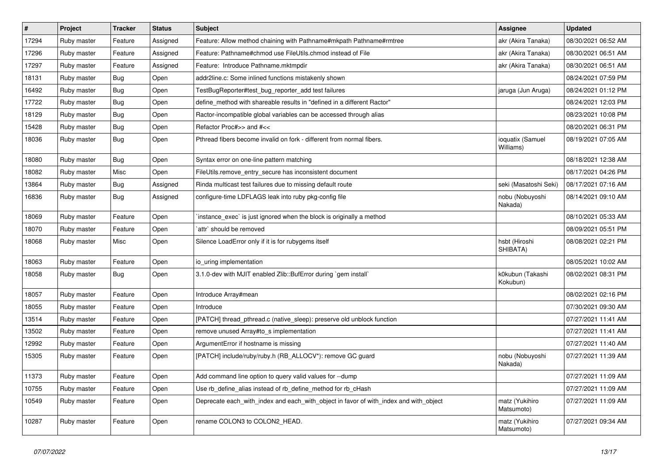| $\vert$ # | Project     | <b>Tracker</b> | <b>Status</b> | Subject                                                                               | <b>Assignee</b>               | <b>Updated</b>      |
|-----------|-------------|----------------|---------------|---------------------------------------------------------------------------------------|-------------------------------|---------------------|
| 17294     | Ruby master | Feature        | Assigned      | Feature: Allow method chaining with Pathname#mkpath Pathname#rmtree                   | akr (Akira Tanaka)            | 08/30/2021 06:52 AM |
| 17296     | Ruby master | Feature        | Assigned      | Feature: Pathname#chmod use FileUtils.chmod instead of File                           | akr (Akira Tanaka)            | 08/30/2021 06:51 AM |
| 17297     | Ruby master | Feature        | Assigned      | Feature: Introduce Pathname.mktmpdir                                                  | akr (Akira Tanaka)            | 08/30/2021 06:51 AM |
| 18131     | Ruby master | Bug            | Open          | addr2line.c: Some inlined functions mistakenly shown                                  |                               | 08/24/2021 07:59 PM |
| 16492     | Ruby master | <b>Bug</b>     | Open          | TestBugReporter#test_bug_reporter_add test failures                                   | jaruga (Jun Aruga)            | 08/24/2021 01:12 PM |
| 17722     | Ruby master | Bug            | Open          | define_method with shareable results in "defined in a different Ractor"               |                               | 08/24/2021 12:03 PM |
| 18129     | Ruby master | <b>Bug</b>     | Open          | Ractor-incompatible global variables can be accessed through alias                    |                               | 08/23/2021 10:08 PM |
| 15428     | Ruby master | <b>Bug</b>     | Open          | Refactor Proc#>> and #<<                                                              |                               | 08/20/2021 06:31 PM |
| 18036     | Ruby master | <b>Bug</b>     | Open          | Pthread fibers become invalid on fork - different from normal fibers.                 | ioquatix (Samuel<br>Williams) | 08/19/2021 07:05 AM |
| 18080     | Ruby master | <b>Bug</b>     | Open          | Syntax error on one-line pattern matching                                             |                               | 08/18/2021 12:38 AM |
| 18082     | Ruby master | Misc           | Open          | FileUtils.remove_entry_secure has inconsistent document                               |                               | 08/17/2021 04:26 PM |
| 13864     | Ruby master | Bug            | Assigned      | Rinda multicast test failures due to missing default route                            | seki (Masatoshi Seki)         | 08/17/2021 07:16 AM |
| 16836     | Ruby master | Bug            | Assigned      | configure-time LDFLAGS leak into ruby pkg-config file                                 | nobu (Nobuyoshi<br>Nakada)    | 08/14/2021 09:10 AM |
| 18069     | Ruby master | Feature        | Open          | instance_exec` is just ignored when the block is originally a method                  |                               | 08/10/2021 05:33 AM |
| 18070     | Ruby master | Feature        | Open          | `attr` should be removed                                                              |                               | 08/09/2021 05:51 PM |
| 18068     | Ruby master | Misc           | Open          | Silence LoadError only if it is for rubygems itself                                   | hsbt (Hiroshi<br>SHIBATA)     | 08/08/2021 02:21 PM |
| 18063     | Ruby master | Feature        | Open          | io_uring implementation                                                               |                               | 08/05/2021 10:02 AM |
| 18058     | Ruby master | <b>Bug</b>     | Open          | 3.1.0-dev with MJIT enabled Zlib::BufError during `gem install`                       | k0kubun (Takashi<br>Kokubun)  | 08/02/2021 08:31 PM |
| 18057     | Ruby master | Feature        | Open          | Introduce Array#mean                                                                  |                               | 08/02/2021 02:16 PM |
| 18055     | Ruby master | Feature        | Open          | Introduce                                                                             |                               | 07/30/2021 09:30 AM |
| 13514     | Ruby master | Feature        | Open          | [PATCH] thread_pthread.c (native_sleep): preserve old unblock function                |                               | 07/27/2021 11:41 AM |
| 13502     | Ruby master | Feature        | Open          | remove unused Array#to_s implementation                                               |                               | 07/27/2021 11:41 AM |
| 12992     | Ruby master | Feature        | Open          | ArgumentError if hostname is missing                                                  |                               | 07/27/2021 11:40 AM |
| 15305     | Ruby master | Feature        | Open          | [PATCH] include/ruby/ruby.h (RB_ALLOCV*): remove GC guard                             | nobu (Nobuyoshi<br>Nakada)    | 07/27/2021 11:39 AM |
| 11373     | Ruby master | Feature        | Open          | Add command line option to query valid values for --dump                              |                               | 07/27/2021 11:09 AM |
| 10755     | Ruby master | Feature        | Open          | Use rb_define_alias instead of rb_define_method for rb_cHash                          |                               | 07/27/2021 11:09 AM |
| 10549     | Ruby master | Feature        | Open          | Deprecate each_with_index and each_with_object in favor of with_index and with_object | matz (Yukihiro<br>Matsumoto)  | 07/27/2021 11:09 AM |
| 10287     | Ruby master | Feature        | Open          | rename COLON3 to COLON2_HEAD.                                                         | matz (Yukihiro<br>Matsumoto)  | 07/27/2021 09:34 AM |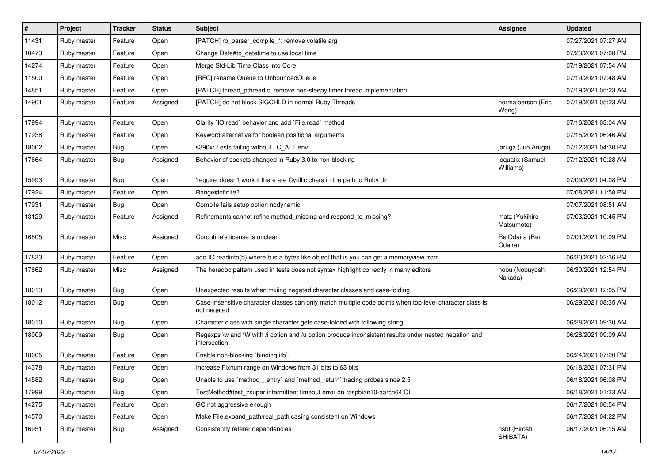| $\vert$ # | Project     | <b>Tracker</b> | <b>Status</b> | Subject                                                                                                                 | <b>Assignee</b>               | <b>Updated</b>      |
|-----------|-------------|----------------|---------------|-------------------------------------------------------------------------------------------------------------------------|-------------------------------|---------------------|
| 11431     | Ruby master | Feature        | Open          | [PATCH] rb_parser_compile_*: remove volatile arg                                                                        |                               | 07/27/2021 07:27 AM |
| 10473     | Ruby master | Feature        | Open          | Change Date#to_datetime to use local time                                                                               |                               | 07/23/2021 07:08 PM |
| 14274     | Ruby master | Feature        | Open          | Merge Std-Lib Time Class into Core                                                                                      |                               | 07/19/2021 07:54 AM |
| 11500     | Ruby master | Feature        | Open          | [RFC] rename Queue to UnboundedQueue                                                                                    |                               | 07/19/2021 07:48 AM |
| 14851     | Ruby master | Feature        | Open          | [PATCH] thread_pthread.c: remove non-sleepy timer thread implementation                                                 |                               | 07/19/2021 05:23 AM |
| 14901     | Ruby master | Feature        | Assigned      | [PATCH] do not block SIGCHLD in normal Ruby Threads                                                                     | normalperson (Eric<br>Wong)   | 07/19/2021 05:23 AM |
| 17994     | Ruby master | Feature        | Open          | Clarify 'IO.read' behavior and add 'File.read' method                                                                   |                               | 07/16/2021 03:04 AM |
| 17938     | Ruby master | Feature        | Open          | Keyword alternative for boolean positional arguments                                                                    |                               | 07/15/2021 06:46 AM |
| 18002     | Ruby master | Bug            | Open          | s390x: Tests failing without LC_ALL env                                                                                 | jaruga (Jun Aruga)            | 07/12/2021 04:30 PM |
| 17664     | Ruby master | Bug            | Assigned      | Behavior of sockets changed in Ruby 3.0 to non-blocking                                                                 | ioquatix (Samuel<br>Williams) | 07/12/2021 10:28 AM |
| 15993     | Ruby master | Bug            | Open          | 'require' doesn't work if there are Cyrillic chars in the path to Ruby dir                                              |                               | 07/09/2021 04:08 PM |
| 17924     | Ruby master | Feature        | Open          | Range#infinite?                                                                                                         |                               | 07/08/2021 11:58 PM |
| 17931     | Ruby master | <b>Bug</b>     | Open          | Compile fails setup option nodynamic                                                                                    |                               | 07/07/2021 08:51 AM |
| 13129     | Ruby master | Feature        | Assigned      | Refinements cannot refine method_missing and respond_to_missing?                                                        | matz (Yukihiro<br>Matsumoto)  | 07/03/2021 10:45 PM |
| 16805     | Ruby master | Misc           | Assigned      | Coroutine's license is unclear                                                                                          | ReiOdaira (Rei<br>Odaira)     | 07/01/2021 10:09 PM |
| 17833     | Ruby master | Feature        | Open          | add IO.readinto(b) where b is a bytes like object that is you can get a memoryview from                                 |                               | 06/30/2021 02:36 PM |
| 17662     | Ruby master | Misc           | Assigned      | The heredoc pattern used in tests does not syntax highlight correctly in many editors                                   | nobu (Nobuyoshi<br>Nakada)    | 06/30/2021 12:54 PM |
| 18013     | Ruby master | <b>Bug</b>     | Open          | Unexpected results when mxiing negated character classes and case-folding                                               |                               | 06/29/2021 12:05 PM |
| 18012     | Ruby master | <b>Bug</b>     | Open          | Case-insensitive character classes can only match multiple code points when top-level character class is<br>not negated |                               | 06/29/2021 08:35 AM |
| 18010     | Ruby master | <b>Bug</b>     | Open          | Character class with single character gets case-folded with following string                                            |                               | 06/28/2021 09:30 AM |
| 18009     | Ruby master | Bug            | Open          | Regexps \w and \W with /i option and /u option produce inconsistent results under nested negation and<br>intersection   |                               | 06/28/2021 09:09 AM |
| 18005     | Ruby master | Feature        | Open          | Enable non-blocking `binding.irb`.                                                                                      |                               | 06/24/2021 07:20 PM |
| 14378     | Ruby master | Feature        | Open          | Increase Fixnum range on Windows from 31 bits to 63 bits                                                                |                               | 06/18/2021 07:31 PM |
| 14582     | Ruby master | <b>Bug</b>     | Open          | Unable to use `method_entry` and `method_return` tracing probes since 2.5                                               |                               | 06/18/2021 06:08 PM |
| 17999     | Ruby master | Bug            | Open          | TestMethod#test_zsuper intermittent timeout error on raspbian10-aarch64 CI                                              |                               | 06/18/2021 01:33 AM |
| 14275     | Ruby master | Feature        | Open          | GC not aggressive enough                                                                                                |                               | 06/17/2021 06:54 PM |
| 14570     | Ruby master | Feature        | Open          | Make File.expand_path/real_path casing consistent on Windows                                                            |                               | 06/17/2021 04:22 PM |
| 16951     | Ruby master | Bug            | Assigned      | Consistently referer dependencies                                                                                       | hsbt (Hiroshi<br>SHIBATA)     | 06/17/2021 06:15 AM |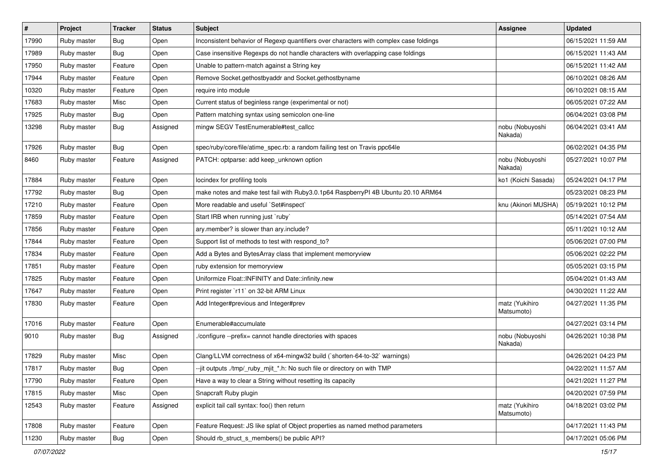| $\vert$ # | Project     | <b>Tracker</b> | <b>Status</b> | Subject                                                                                | Assignee                     | <b>Updated</b>      |
|-----------|-------------|----------------|---------------|----------------------------------------------------------------------------------------|------------------------------|---------------------|
| 17990     | Ruby master | Bug            | Open          | Inconsistent behavior of Regexp quantifiers over characters with complex case foldings |                              | 06/15/2021 11:59 AM |
| 17989     | Ruby master | Bug            | Open          | Case insensitive Regexps do not handle characters with overlapping case foldings       |                              | 06/15/2021 11:43 AM |
| 17950     | Ruby master | Feature        | Open          | Unable to pattern-match against a String key                                           |                              | 06/15/2021 11:42 AM |
| 17944     | Ruby master | Feature        | Open          | Remove Socket.gethostbyaddr and Socket.gethostbyname                                   |                              | 06/10/2021 08:26 AM |
| 10320     | Ruby master | Feature        | Open          | require into module                                                                    |                              | 06/10/2021 08:15 AM |
| 17683     | Ruby master | Misc           | Open          | Current status of beginless range (experimental or not)                                |                              | 06/05/2021 07:22 AM |
| 17925     | Ruby master | <b>Bug</b>     | Open          | Pattern matching syntax using semicolon one-line                                       |                              | 06/04/2021 03:08 PM |
| 13298     | Ruby master | <b>Bug</b>     | Assigned      | mingw SEGV TestEnumerable#test_callcc                                                  | nobu (Nobuyoshi<br>Nakada)   | 06/04/2021 03:41 AM |
| 17926     | Ruby master | Bug            | Open          | spec/ruby/core/file/atime_spec.rb: a random failing test on Travis ppc64le             |                              | 06/02/2021 04:35 PM |
| 8460      | Ruby master | Feature        | Assigned      | PATCH: optparse: add keep_unknown option                                               | nobu (Nobuyoshi<br>Nakada)   | 05/27/2021 10:07 PM |
| 17884     | Ruby master | Feature        | Open          | locindex for profiling tools                                                           | ko1 (Koichi Sasada)          | 05/24/2021 04:17 PM |
| 17792     | Ruby master | Bug            | Open          | make notes and make test fail with Ruby3.0.1p64 RaspberryPI 4B Ubuntu 20.10 ARM64      |                              | 05/23/2021 08:23 PM |
| 17210     | Ruby master | Feature        | Open          | More readable and useful `Set#inspect`                                                 | knu (Akinori MUSHA)          | 05/19/2021 10:12 PM |
| 17859     | Ruby master | Feature        | Open          | Start IRB when running just `ruby`                                                     |                              | 05/14/2021 07:54 AM |
| 17856     | Ruby master | Feature        | Open          | ary.member? is slower than ary.include?                                                |                              | 05/11/2021 10:12 AM |
| 17844     | Ruby master | Feature        | Open          | Support list of methods to test with respond_to?                                       |                              | 05/06/2021 07:00 PM |
| 17834     | Ruby master | Feature        | Open          | Add a Bytes and BytesArray class that implement memoryview                             |                              | 05/06/2021 02:22 PM |
| 17851     | Ruby master | Feature        | Open          | ruby extension for memoryview                                                          |                              | 05/05/2021 03:15 PM |
| 17825     | Ruby master | Feature        | Open          | Uniformize Float::INFINITY and Date::infinity.new                                      |                              | 05/04/2021 01:43 AM |
| 17647     | Ruby master | Feature        | Open          | Print register `r11` on 32-bit ARM Linux                                               |                              | 04/30/2021 11:22 AM |
| 17830     | Ruby master | Feature        | Open          | Add Integer#previous and Integer#prev                                                  | matz (Yukihiro<br>Matsumoto) | 04/27/2021 11:35 PM |
| 17016     | Ruby master | Feature        | Open          | Enumerable#accumulate                                                                  |                              | 04/27/2021 03:14 PM |
| 9010      | Ruby master | Bug            | Assigned      | /configure --prefix= cannot handle directories with spaces                             | nobu (Nobuyoshi<br>Nakada)   | 04/26/2021 10:38 PM |
| 17829     | Ruby master | Misc           | Open          | Clang/LLVM correctness of x64-mingw32 build (`shorten-64-to-32` warnings)              |                              | 04/26/2021 04:23 PM |
| 17817     | Ruby master | <b>Bug</b>     | Open          | --jit outputs ./tmp/_ruby_mjit_*.h: No such file or directory on with TMP              |                              | 04/22/2021 11:57 AM |
| 17790     | Ruby master | Feature        | Open          | Have a way to clear a String without resetting its capacity                            |                              | 04/21/2021 11:27 PM |
| 17815     | Ruby master | Misc           | Open          | Snapcraft Ruby plugin                                                                  |                              | 04/20/2021 07:59 PM |
| 12543     | Ruby master | Feature        | Assigned      | explicit tail call syntax: foo() then return                                           | matz (Yukihiro<br>Matsumoto) | 04/18/2021 03:02 PM |
| 17808     | Ruby master | Feature        | Open          | Feature Request: JS like splat of Object properties as named method parameters         |                              | 04/17/2021 11:43 PM |
| 11230     | Ruby master | Bug            | Open          | Should rb struct s members() be public API?                                            |                              | 04/17/2021 05:06 PM |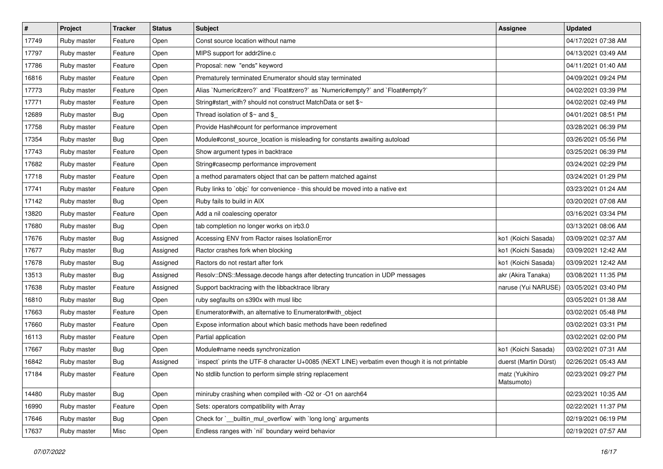| $\vert$ # | Project     | <b>Tracker</b> | <b>Status</b> | <b>Subject</b>                                                                                  | <b>Assignee</b>              | <b>Updated</b>      |
|-----------|-------------|----------------|---------------|-------------------------------------------------------------------------------------------------|------------------------------|---------------------|
| 17749     | Ruby master | Feature        | Open          | Const source location without name                                                              |                              | 04/17/2021 07:38 AM |
| 17797     | Ruby master | Feature        | Open          | MIPS support for addr2line.c                                                                    |                              | 04/13/2021 03:49 AM |
| 17786     | Ruby master | Feature        | Open          | Proposal: new "ends" keyword                                                                    |                              | 04/11/2021 01:40 AM |
| 16816     | Ruby master | Feature        | Open          | Prematurely terminated Enumerator should stay terminated                                        |                              | 04/09/2021 09:24 PM |
| 17773     | Ruby master | Feature        | Open          | Alias `Numeric#zero?` and `Float#zero?` as `Numeric#empty?` and `Float#empty?`                  |                              | 04/02/2021 03:39 PM |
| 17771     | Ruby master | Feature        | Open          | String#start_with? should not construct MatchData or set \$~                                    |                              | 04/02/2021 02:49 PM |
| 12689     | Ruby master | Bug            | Open          | Thread isolation of $$~$ and \$                                                                 |                              | 04/01/2021 08:51 PM |
| 17758     | Ruby master | Feature        | Open          | Provide Hash#count for performance improvement                                                  |                              | 03/28/2021 06:39 PM |
| 17354     | Ruby master | Bug            | Open          | Module#const_source_location is misleading for constants awaiting autoload                      |                              | 03/26/2021 05:56 PM |
| 17743     | Ruby master | Feature        | Open          | Show argument types in backtrace                                                                |                              | 03/25/2021 06:39 PM |
| 17682     | Ruby master | Feature        | Open          | String#casecmp performance improvement                                                          |                              | 03/24/2021 02:29 PM |
| 17718     | Ruby master | Feature        | Open          | a method paramaters object that can be pattern matched against                                  |                              | 03/24/2021 01:29 PM |
| 17741     | Ruby master | Feature        | Open          | Ruby links to `objc` for convenience - this should be moved into a native ext                   |                              | 03/23/2021 01:24 AM |
| 17142     | Ruby master | Bug            | Open          | Ruby fails to build in AIX                                                                      |                              | 03/20/2021 07:08 AM |
| 13820     | Ruby master | Feature        | Open          | Add a nil coalescing operator                                                                   |                              | 03/16/2021 03:34 PM |
| 17680     | Ruby master | Bug            | Open          | tab completion no longer works on irb3.0                                                        |                              | 03/13/2021 08:06 AM |
| 17676     | Ruby master | Bug            | Assigned      | Accessing ENV from Ractor raises IsolationError                                                 | ko1 (Koichi Sasada)          | 03/09/2021 02:37 AM |
| 17677     | Ruby master | Bug            | Assigned      | Ractor crashes fork when blocking                                                               | ko1 (Koichi Sasada)          | 03/09/2021 12:42 AM |
| 17678     | Ruby master | Bug            | Assigned      | Ractors do not restart after fork                                                               | ko1 (Koichi Sasada)          | 03/09/2021 12:42 AM |
| 13513     | Ruby master | Bug            | Assigned      | Resolv::DNS::Message.decode hangs after detecting truncation in UDP messages                    | akr (Akira Tanaka)           | 03/08/2021 11:35 PM |
| 17638     | Ruby master | Feature        | Assigned      | Support backtracing with the libbacktrace library                                               | naruse (Yui NARUSE)          | 03/05/2021 03:40 PM |
| 16810     | Ruby master | Bug            | Open          | ruby segfaults on s390x with musl libc                                                          |                              | 03/05/2021 01:38 AM |
| 17663     | Ruby master | Feature        | Open          | Enumerator#with, an alternative to Enumerator#with_object                                       |                              | 03/02/2021 05:48 PM |
| 17660     | Ruby master | Feature        | Open          | Expose information about which basic methods have been redefined                                |                              | 03/02/2021 03:31 PM |
| 16113     | Ruby master | Feature        | Open          | Partial application                                                                             |                              | 03/02/2021 02:00 PM |
| 17667     | Ruby master | Bug            | Open          | Module#name needs synchronization                                                               | ko1 (Koichi Sasada)          | 03/02/2021 07:31 AM |
| 16842     | Ruby master | Bug            | Assigned      | inspect` prints the UTF-8 character U+0085 (NEXT LINE) verbatim even though it is not printable | duerst (Martin Dürst)        | 02/26/2021 05:43 AM |
| 17184     | Ruby master | Feature        | Open          | No stdlib function to perform simple string replacement                                         | matz (Yukihiro<br>Matsumoto) | 02/23/2021 09:27 PM |
| 14480     | Ruby master | Bug            | Open          | miniruby crashing when compiled with -O2 or -O1 on aarch64                                      |                              | 02/23/2021 10:35 AM |
| 16990     | Ruby master | Feature        | Open          | Sets: operators compatibility with Array                                                        |                              | 02/22/2021 11:37 PM |
| 17646     | Ruby master | Bug            | Open          | Check for `_builtin_mul_overflow` with `long long` arguments                                    |                              | 02/19/2021 06:19 PM |
| 17637     | Ruby master | Misc           | Open          | Endless ranges with `nil` boundary weird behavior                                               |                              | 02/19/2021 07:57 AM |